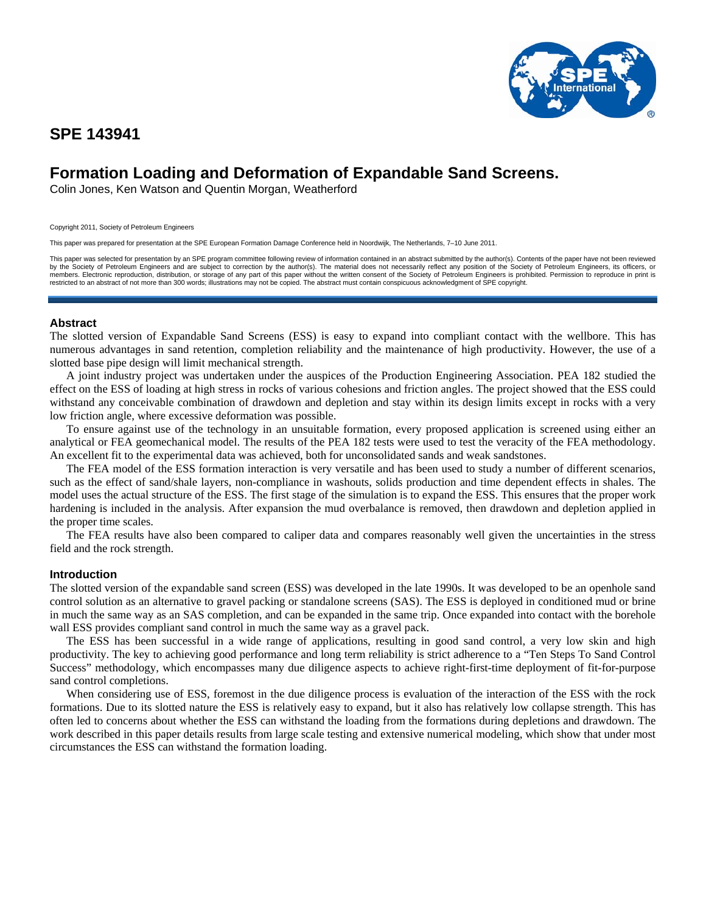

# **SPE 143941**

# **Formation Loading and Deformation of Expandable Sand Screens.**

Colin Jones, Ken Watson and Quentin Morgan, Weatherford

Copyright 2011, Society of Petroleum Engineers

This paper was prepared for presentation at the SPE European Formation Damage Conference held in Noordwijk, The Netherlands, 7–10 June 2011.

This paper was selected for presentation by an SPE program committee following review of information contained in an abstract submitted by the author(s). Contents of the paper have not been reviewed by the Society of Petroleum Engineers and are subject to correction by the author(s). The material does not necessarily reflect any position of the Society of Petroleum Engineers, its officers, or<br>members. Electronic repro

## **Abstract**

The slotted version of Expandable Sand Screens (ESS) is easy to expand into compliant contact with the wellbore. This has numerous advantages in sand retention, completion reliability and the maintenance of high productivity. However, the use of a slotted base pipe design will limit mechanical strength.

A joint industry project was undertaken under the auspices of the Production Engineering Association. PEA 182 studied the effect on the ESS of loading at high stress in rocks of various cohesions and friction angles. The project showed that the ESS could withstand any conceivable combination of drawdown and depletion and stay within its design limits except in rocks with a very low friction angle, where excessive deformation was possible.

To ensure against use of the technology in an unsuitable formation, every proposed application is screened using either an analytical or FEA geomechanical model. The results of the PEA 182 tests were used to test the veracity of the FEA methodology. An excellent fit to the experimental data was achieved, both for unconsolidated sands and weak sandstones.

The FEA model of the ESS formation interaction is very versatile and has been used to study a number of different scenarios, such as the effect of sand/shale layers, non-compliance in washouts, solids production and time dependent effects in shales. The model uses the actual structure of the ESS. The first stage of the simulation is to expand the ESS. This ensures that the proper work hardening is included in the analysis. After expansion the mud overbalance is removed, then drawdown and depletion applied in the proper time scales.

The FEA results have also been compared to caliper data and compares reasonably well given the uncertainties in the stress field and the rock strength.

## **Introduction**

The slotted version of the expandable sand screen (ESS) was developed in the late 1990s. It was developed to be an openhole sand control solution as an alternative to gravel packing or standalone screens (SAS). The ESS is deployed in conditioned mud or brine in much the same way as an SAS completion, and can be expanded in the same trip. Once expanded into contact with the borehole wall ESS provides compliant sand control in much the same way as a gravel pack.

The ESS has been successful in a wide range of applications, resulting in good sand control, a very low skin and high productivity. The key to achieving good performance and long term reliability is strict adherence to a "Ten Steps To Sand Control Success" methodology, which encompasses many due diligence aspects to achieve right-first-time deployment of fit-for-purpose sand control completions.

When considering use of ESS, foremost in the due diligence process is evaluation of the interaction of the ESS with the rock formations. Due to its slotted nature the ESS is relatively easy to expand, but it also has relatively low collapse strength. This has often led to concerns about whether the ESS can withstand the loading from the formations during depletions and drawdown. The work described in this paper details results from large scale testing and extensive numerical modeling, which show that under most circumstances the ESS can withstand the formation loading.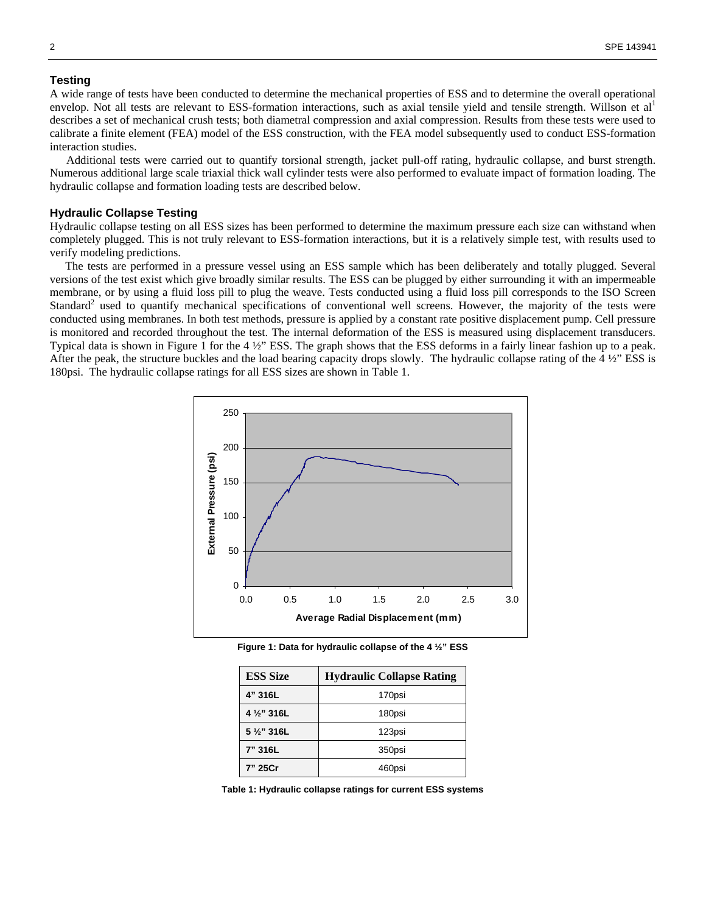## **Testing**

A wide range of tests have been conducted to determine the mechanical properties of ESS and to determine the overall operational envelop. Not all tests are relevant to ESS-formation interactions, such as axial tensile yield and tensile strength. Willson et al<sup>1</sup> describes a set of mechanical crush tests; both diametral compression and axial compression. Results from these tests were used to calibrate a finite element (FEA) model of the ESS construction, with the FEA model subsequently used to conduct ESS-formation interaction studies.

Additional tests were carried out to quantify torsional strength, jacket pull-off rating, hydraulic collapse, and burst strength. Numerous additional large scale triaxial thick wall cylinder tests were also performed to evaluate impact of formation loading. The hydraulic collapse and formation loading tests are described below.

## **Hydraulic Collapse Testing**

Hydraulic collapse testing on all ESS sizes has been performed to determine the maximum pressure each size can withstand when completely plugged. This is not truly relevant to ESS-formation interactions, but it is a relatively simple test, with results used to verify modeling predictions.

The tests are performed in a pressure vessel using an ESS sample which has been deliberately and totally plugged. Several versions of the test exist which give broadly similar results. The ESS can be plugged by either surrounding it with an impermeable membrane, or by using a fluid loss pill to plug the weave. Tests conducted using a fluid loss pill corresponds to the ISO Screen Standard<sup>2</sup> used to quantify mechanical specifications of conventional well screens. However, the majority of the tests were conducted using membranes. In both test methods, pressure is applied by a constant rate positive displacement pump. Cell pressure is monitored and recorded throughout the test. The internal deformation of the ESS is measured using displacement transducers. Typical data is shown in Figure 1 for the 4 ½" ESS. The graph shows that the ESS deforms in a fairly linear fashion up to a peak. After the peak, the structure buckles and the load bearing capacity drops slowly. The hydraulic collapse rating of the 4 ½" ESS is 180psi. The hydraulic collapse ratings for all ESS sizes are shown in Table 1.



**Figure 1: Data for hydraulic collapse of the 4 ½" ESS** 

| <b>ESS Size</b> | <b>Hydraulic Collapse Rating</b> |
|-----------------|----------------------------------|
| 4" 316L         | 170psi                           |
| 4 1/2" 316L     | 180psi                           |
| 5 1/2" 316L     | 123psi                           |
| 7" 316L         | 350psi                           |
| 7" 25Cr         | 460psi                           |

**Table 1: Hydraulic collapse ratings for current ESS systems**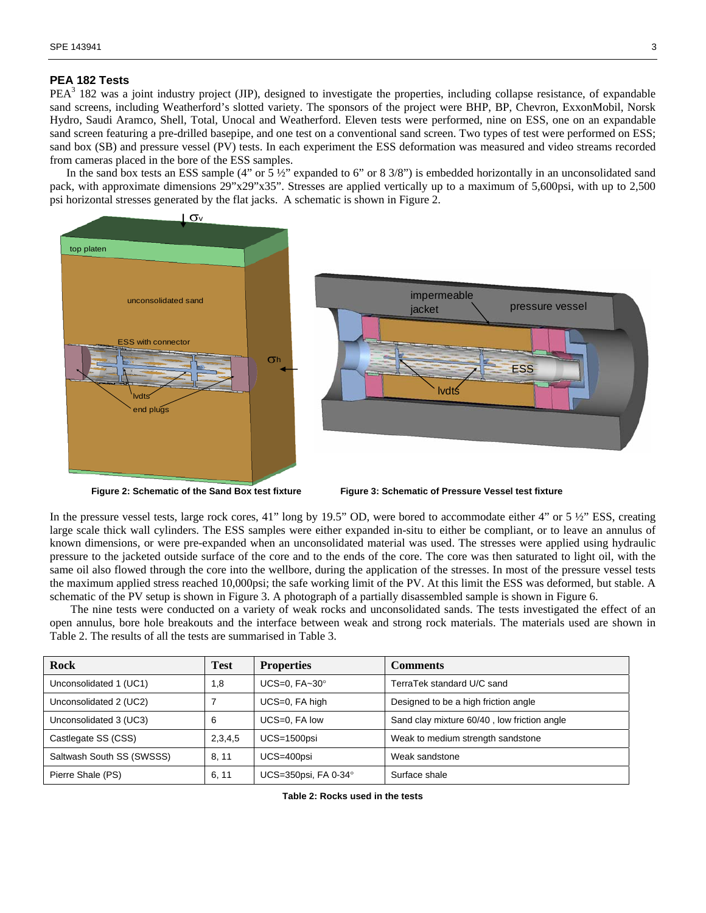## **PEA 182 Tests**

 $PEA<sup>3</sup>$  182 was a joint industry project (JIP), designed to investigate the properties, including collapse resistance, of expandable sand screens, including Weatherford's slotted variety. The sponsors of the project were BHP, BP, Chevron, ExxonMobil, Norsk Hydro, Saudi Aramco, Shell, Total, Unocal and Weatherford. Eleven tests were performed, nine on ESS, one on an expandable sand screen featuring a pre-drilled basepipe, and one test on a conventional sand screen. Two types of test were performed on ESS; sand box (SB) and pressure vessel (PV) tests. In each experiment the ESS deformation was measured and video streams recorded from cameras placed in the bore of the ESS samples.

In the sand box tests an ESS sample (4" or 5  $\frac{1}{2}$ " expanded to 6" or 8 3/8") is embedded horizontally in an unconsolidated sand pack, with approximate dimensions 29"x29"x35". Stresses are applied vertically up to a maximum of 5,600psi, with up to 2,500 psi horizontal stresses generated by the flat jacks. A schematic is shown in Figure 2.





In the pressure vessel tests, large rock cores, 41" long by 19.5" OD, were bored to accommodate either 4" or 5  $\frac{1}{2}$ " ESS, creating large scale thick wall cylinders. The ESS samples were either expanded in-situ to either be compliant, or to leave an annulus of known dimensions, or were pre-expanded when an unconsolidated material was used. The stresses were applied using hydraulic pressure to the jacketed outside surface of the core and to the ends of the core. The core was then saturated to light oil, with the same oil also flowed through the core into the wellbore, during the application of the stresses. In most of the pressure vessel tests the maximum applied stress reached 10,000psi; the safe working limit of the PV. At this limit the ESS was deformed, but stable. A schematic of the PV setup is shown in Figure 3. A photograph of a partially disassembled sample is shown in Figure 6.

The nine tests were conducted on a variety of weak rocks and unconsolidated sands. The tests investigated the effect of an open annulus, bore hole breakouts and the interface between weak and strong rock materials. The materials used are shown in Table 2. The results of all the tests are summarised in Table 3.

| Rock                      | Test    | <b>Properties</b>              | Comments                                    |  |
|---------------------------|---------|--------------------------------|---------------------------------------------|--|
| Unconsolidated 1 (UC1)    | 1.8     | UCS=0, $FA~30^\circ$           | TerraTek standard U/C sand                  |  |
| Unconsolidated 2 (UC2)    |         | UCS=0, FA high                 | Designed to be a high friction angle        |  |
| Unconsolidated 3 (UC3)    | 6       | UCS=0, FA low                  | Sand clay mixture 60/40, low friction angle |  |
| Castlegate SS (CSS)       | 2,3,4,5 | $UCS = 1500$ psi               | Weak to medium strength sandstone           |  |
| Saltwash South SS (SWSSS) | 8.11    | UCS=400psi                     | Weak sandstone                              |  |
| Pierre Shale (PS)         | 6, 11   | UCS=350psi, FA 0-34 $^{\circ}$ | Surface shale                               |  |

**Table 2: Rocks used in the tests**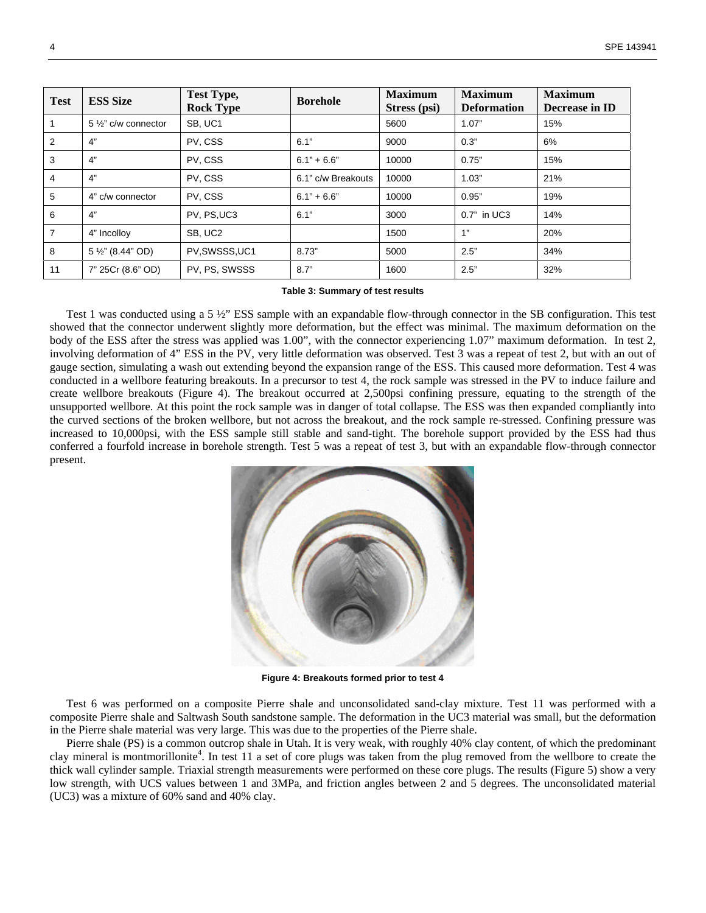| <b>Test</b>    | <b>ESS Size</b>      | Test Type,<br><b>Rock Type</b> | <b>Borehole</b>    | <b>Maximum</b><br>Stress (psi) | <b>Maximum</b><br><b>Deformation</b> | <b>Maximum</b><br>Decrease in ID |
|----------------|----------------------|--------------------------------|--------------------|--------------------------------|--------------------------------------|----------------------------------|
|                | 5 1/2" c/w connector | SB, UC1                        |                    | 5600                           | 1.07"                                | 15%                              |
| 2              | 4"                   | PV, CSS                        | 6.1"               | 9000                           | 0.3"                                 | 6%                               |
| 3              | 4"                   | PV, CSS                        | $6.1" + 6.6"$      | 10000                          | 0.75"                                | 15%                              |
| 4              | 4"                   | PV, CSS                        | 6.1" c/w Breakouts | 10000                          | 1.03"                                | 21%                              |
| 5              | 4" c/w connector     | PV, CSS                        | $6.1" + 6.6"$      | 10000                          | 0.95"                                | 19%                              |
| 6              | 4"                   | PV, PS, UC3                    | 6.1"               | 3000                           | 0.7" in UC3                          | 14%                              |
| $\overline{7}$ | 4" Incolloy          | SB, UC2                        |                    | 1500                           | 1"                                   | 20%                              |
| 8              | 5 1/2" (8.44" OD)    | PV,SWSSS,UC1                   | 8.73"              | 5000                           | 2.5"                                 | 34%                              |
| 11             | 7" 25Cr (8.6" OD)    | PV, PS, SWSSS                  | 8.7"               | 1600                           | 2.5"                                 | 32%                              |

#### **Table 3: Summary of test results**

Test 1 was conducted using a 5  $\frac{1}{2}$ " ESS sample with an expandable flow-through connector in the SB configuration. This test showed that the connector underwent slightly more deformation, but the effect was minimal. The maximum deformation on the body of the ESS after the stress was applied was 1.00", with the connector experiencing 1.07" maximum deformation. In test 2, involving deformation of 4" ESS in the PV, very little deformation was observed. Test 3 was a repeat of test 2, but with an out of gauge section, simulating a wash out extending beyond the expansion range of the ESS. This caused more deformation. Test 4 was conducted in a wellbore featuring breakouts. In a precursor to test 4, the rock sample was stressed in the PV to induce failure and create wellbore breakouts (Figure 4). The breakout occurred at 2,500psi confining pressure, equating to the strength of the unsupported wellbore. At this point the rock sample was in danger of total collapse. The ESS was then expanded compliantly into the curved sections of the broken wellbore, but not across the breakout, and the rock sample re-stressed. Confining pressure was increased to 10,000psi, with the ESS sample still stable and sand-tight. The borehole support provided by the ESS had thus conferred a fourfold increase in borehole strength. Test 5 was a repeat of test 3, but with an expandable flow-through connector present.



**Figure 4: Breakouts formed prior to test 4** 

Test 6 was performed on a composite Pierre shale and unconsolidated sand-clay mixture. Test 11 was performed with a composite Pierre shale and Saltwash South sandstone sample. The deformation in the UC3 material was small, but the deformation in the Pierre shale material was very large. This was due to the properties of the Pierre shale.

Pierre shale (PS) is a common outcrop shale in Utah. It is very weak, with roughly 40% clay content, of which the predominant clay mineral is montmorillonite<sup>4</sup>. In test 11 a set of core plugs was taken from the plug removed from the wellbore to create the thick wall cylinder sample. Triaxial strength measurements were performed on these core plugs. The results (Figure 5) show a very low strength, with UCS values between 1 and 3MPa, and friction angles between 2 and 5 degrees. The unconsolidated material (UC3) was a mixture of 60% sand and 40% clay.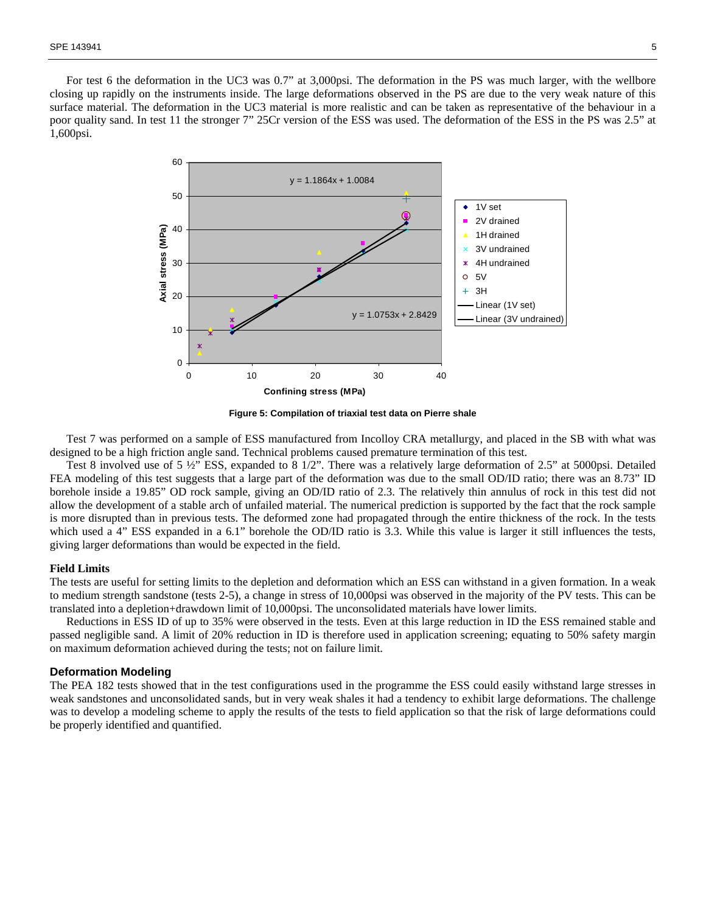For test 6 the deformation in the UC3 was 0.7" at 3,000psi. The deformation in the PS was much larger, with the wellbore closing up rapidly on the instruments inside. The large deformations observed in the PS are due to the very weak nature of this surface material. The deformation in the UC3 material is more realistic and can be taken as representative of the behaviour in a poor quality sand. In test 11 the stronger 7" 25Cr version of the ESS was used. The deformation of the ESS in the PS was 2.5" at 1,600psi.



**Figure 5: Compilation of triaxial test data on Pierre shale** 

Test 7 was performed on a sample of ESS manufactured from Incolloy CRA metallurgy, and placed in the SB with what was designed to be a high friction angle sand. Technical problems caused premature termination of this test.

Test 8 involved use of 5 ½" ESS, expanded to 8 1/2". There was a relatively large deformation of 2.5" at 5000psi. Detailed FEA modeling of this test suggests that a large part of the deformation was due to the small OD/ID ratio; there was an 8.73" ID borehole inside a 19.85" OD rock sample, giving an OD/ID ratio of 2.3. The relatively thin annulus of rock in this test did not allow the development of a stable arch of unfailed material. The numerical prediction is supported by the fact that the rock sample is more disrupted than in previous tests. The deformed zone had propagated through the entire thickness of the rock. In the tests which used a 4" ESS expanded in a 6.1" borehole the OD/ID ratio is 3.3. While this value is larger it still influences the tests, giving larger deformations than would be expected in the field.

## **Field Limits**

The tests are useful for setting limits to the depletion and deformation which an ESS can withstand in a given formation. In a weak to medium strength sandstone (tests 2-5), a change in stress of 10,000psi was observed in the majority of the PV tests. This can be translated into a depletion+drawdown limit of 10,000psi. The unconsolidated materials have lower limits.

Reductions in ESS ID of up to 35% were observed in the tests. Even at this large reduction in ID the ESS remained stable and passed negligible sand. A limit of 20% reduction in ID is therefore used in application screening; equating to 50% safety margin on maximum deformation achieved during the tests; not on failure limit.

## **Deformation Modeling**

The PEA 182 tests showed that in the test configurations used in the programme the ESS could easily withstand large stresses in weak sandstones and unconsolidated sands, but in very weak shales it had a tendency to exhibit large deformations. The challenge was to develop a modeling scheme to apply the results of the tests to field application so that the risk of large deformations could be properly identified and quantified.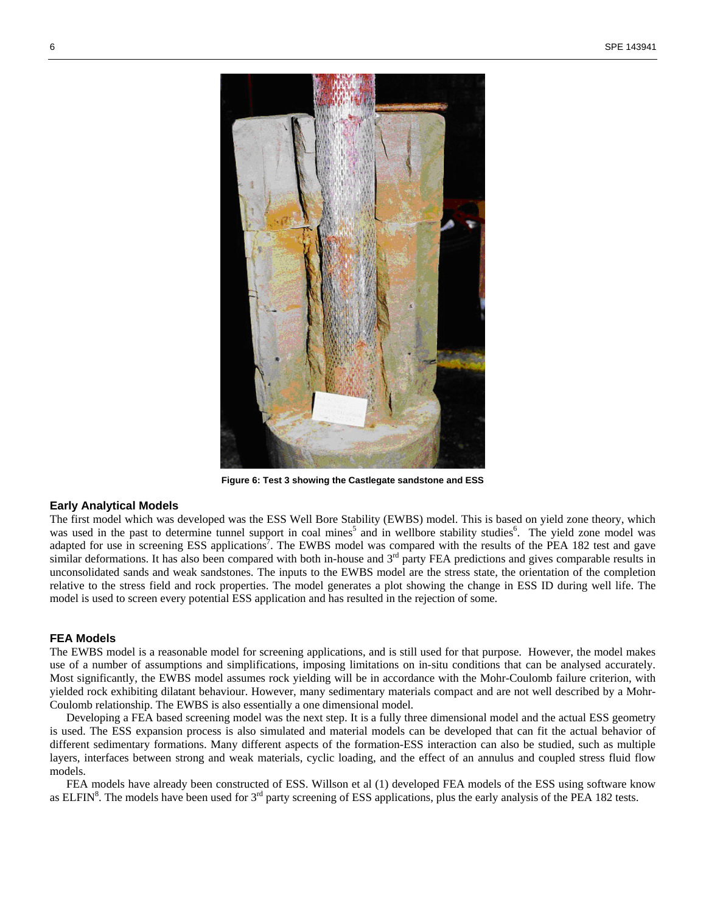

**Figure 6: Test 3 showing the Castlegate sandstone and ESS** 

## **Early Analytical Models**

The first model which was developed was the ESS Well Bore Stability (EWBS) model. This is based on yield zone theory, which was used in the past to determine tunnel support in coal mines<sup>5</sup> and in wellbore stability studies<sup>6</sup>. The yield zone model was adapted for use in screening ESS applications<sup>7</sup>. The EWBS model was compared with the results of the PEA 182 test and gave similar deformations. It has also been compared with both in-house and  $3<sup>rd</sup>$  party FEA predictions and gives comparable results in unconsolidated sands and weak sandstones. The inputs to the EWBS model are the stress state, the orientation of the completion relative to the stress field and rock properties. The model generates a plot showing the change in ESS ID during well life. The model is used to screen every potential ESS application and has resulted in the rejection of some.

## **FEA Models**

The EWBS model is a reasonable model for screening applications, and is still used for that purpose. However, the model makes use of a number of assumptions and simplifications, imposing limitations on in-situ conditions that can be analysed accurately. Most significantly, the EWBS model assumes rock yielding will be in accordance with the Mohr-Coulomb failure criterion, with yielded rock exhibiting dilatant behaviour. However, many sedimentary materials compact and are not well described by a Mohr-Coulomb relationship. The EWBS is also essentially a one dimensional model.

Developing a FEA based screening model was the next step. It is a fully three dimensional model and the actual ESS geometry is used. The ESS expansion process is also simulated and material models can be developed that can fit the actual behavior of different sedimentary formations. Many different aspects of the formation-ESS interaction can also be studied, such as multiple layers, interfaces between strong and weak materials, cyclic loading, and the effect of an annulus and coupled stress fluid flow models.

FEA models have already been constructed of ESS. Willson et al (1) developed FEA models of the ESS using software know as ELFIN<sup>8</sup>. The models have been used for  $3<sup>rd</sup>$  party screening of ESS applications, plus the early analysis of the PEA 182 tests.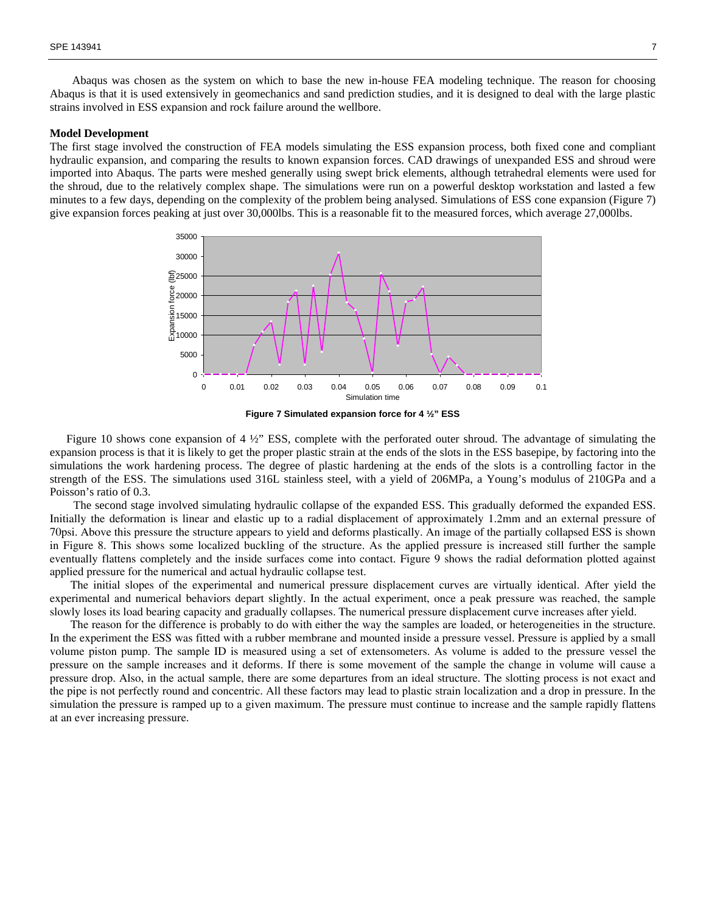Abaqus was chosen as the system on which to base the new in-house FEA modeling technique. The reason for choosing Abaqus is that it is used extensively in geomechanics and sand prediction studies, and it is designed to deal with the large plastic strains involved in ESS expansion and rock failure around the wellbore.

#### **Model Development**

The first stage involved the construction of FEA models simulating the ESS expansion process, both fixed cone and compliant hydraulic expansion, and comparing the results to known expansion forces. CAD drawings of unexpanded ESS and shroud were imported into Abaqus. The parts were meshed generally using swept brick elements, although tetrahedral elements were used for the shroud, due to the relatively complex shape. The simulations were run on a powerful desktop workstation and lasted a few minutes to a few days, depending on the complexity of the problem being analysed. Simulations of ESS cone expansion (Figure 7) give expansion forces peaking at just over 30,000lbs. This is a reasonable fit to the measured forces, which average 27,000lbs.





Figure 10 shows cone expansion of 4  $\frac{1}{2}$ " ESS, complete with the perforated outer shroud. The advantage of simulating the expansion process is that it is likely to get the proper plastic strain at the ends of the slots in the ESS basepipe, by factoring into the simulations the work hardening process. The degree of plastic hardening at the ends of the slots is a controlling factor in the strength of the ESS. The simulations used 316L stainless steel, with a yield of 206MPa, a Young's modulus of 210GPa and a Poisson's ratio of 0.3.

 The second stage involved simulating hydraulic collapse of the expanded ESS. This gradually deformed the expanded ESS. Initially the deformation is linear and elastic up to a radial displacement of approximately 1.2mm and an external pressure of 70psi. Above this pressure the structure appears to yield and deforms plastically. An image of the partially collapsed ESS is shown in Figure 8. This shows some localized buckling of the structure. As the applied pressure is increased still further the sample eventually flattens completely and the inside surfaces come into contact. Figure 9 shows the radial deformation plotted against applied pressure for the numerical and actual hydraulic collapse test.

The initial slopes of the experimental and numerical pressure displacement curves are virtually identical. After yield the experimental and numerical behaviors depart slightly. In the actual experiment, once a peak pressure was reached, the sample slowly loses its load bearing capacity and gradually collapses. The numerical pressure displacement curve increases after yield.

The reason for the difference is probably to do with either the way the samples are loaded, or heterogeneities in the structure. In the experiment the ESS was fitted with a rubber membrane and mounted inside a pressure vessel. Pressure is applied by a small volume piston pump. The sample ID is measured using a set of extensometers. As volume is added to the pressure vessel the pressure on the sample increases and it deforms. If there is some movement of the sample the change in volume will cause a pressure drop. Also, in the actual sample, there are some departures from an ideal structure. The slotting process is not exact and the pipe is not perfectly round and concentric. All these factors may lead to plastic strain localization and a drop in pressure. In the simulation the pressure is ramped up to a given maximum. The pressure must continue to increase and the sample rapidly flattens at an ever increasing pressure.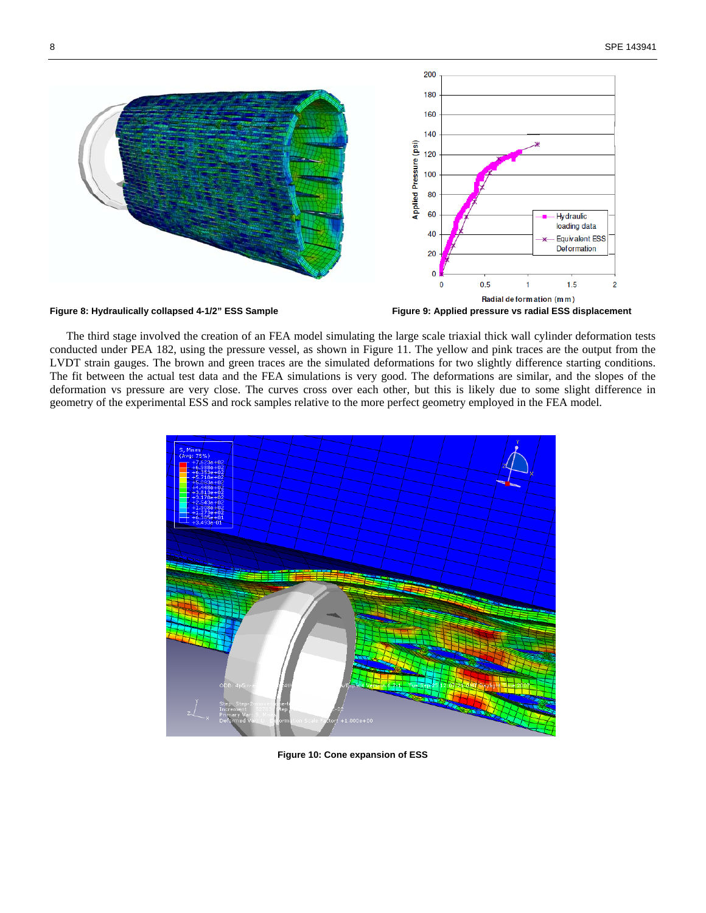

The third stage involved the creation of an FEA model simulating the large scale triaxial thick wall cylinder deformation tests conducted under PEA 182, using the pressure vessel, as shown in Figure 11. The yellow and pink traces are the output from the LVDT strain gauges. The brown and green traces are the simulated deformations for two slightly difference starting conditions. The fit between the actual test data and the FEA simulations is very good. The deformations are similar, and the slopes of the deformation vs pressure are very close. The curves cross over each other, but this is likely due to some slight difference in geometry of the experimental ESS and rock samples relative to the more perfect geometry employed in the FEA model.



**Figure 10: Cone expansion of ESS**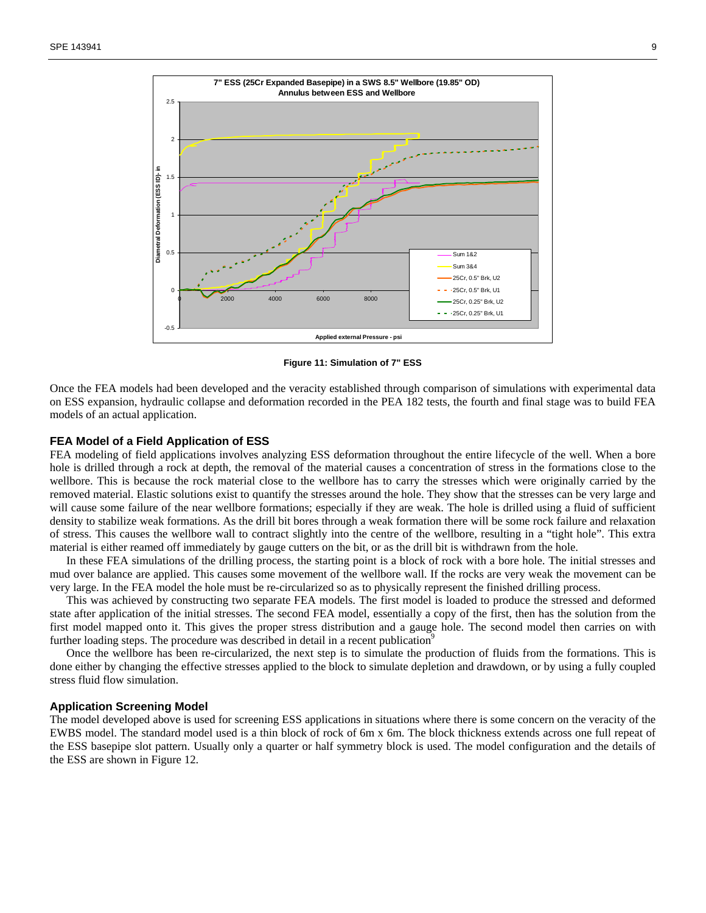

**Figure 11: Simulation of 7" ESS** 

Once the FEA models had been developed and the veracity established through comparison of simulations with experimental data on ESS expansion, hydraulic collapse and deformation recorded in the PEA 182 tests, the fourth and final stage was to build FEA models of an actual application.

## **FEA Model of a Field Application of ESS**

FEA modeling of field applications involves analyzing ESS deformation throughout the entire lifecycle of the well. When a bore hole is drilled through a rock at depth, the removal of the material causes a concentration of stress in the formations close to the wellbore. This is because the rock material close to the wellbore has to carry the stresses which were originally carried by the removed material. Elastic solutions exist to quantify the stresses around the hole. They show that the stresses can be very large and will cause some failure of the near wellbore formations; especially if they are weak. The hole is drilled using a fluid of sufficient density to stabilize weak formations. As the drill bit bores through a weak formation there will be some rock failure and relaxation of stress. This causes the wellbore wall to contract slightly into the centre of the wellbore, resulting in a "tight hole". This extra material is either reamed off immediately by gauge cutters on the bit, or as the drill bit is withdrawn from the hole.

In these FEA simulations of the drilling process, the starting point is a block of rock with a bore hole. The initial stresses and mud over balance are applied. This causes some movement of the wellbore wall. If the rocks are very weak the movement can be very large. In the FEA model the hole must be re-circularized so as to physically represent the finished drilling process.

This was achieved by constructing two separate FEA models. The first model is loaded to produce the stressed and deformed state after application of the initial stresses. The second FEA model, essentially a copy of the first, then has the solution from the first model mapped onto it. This gives the proper stress distribution and a gauge hole. The second model then carries on with further loading steps. The procedure was described in detail in a recent publication<sup>9</sup>

Once the wellbore has been re-circularized, the next step is to simulate the production of fluids from the formations. This is done either by changing the effective stresses applied to the block to simulate depletion and drawdown, or by using a fully coupled stress fluid flow simulation.

## **Application Screening Model**

The model developed above is used for screening ESS applications in situations where there is some concern on the veracity of the EWBS model. The standard model used is a thin block of rock of 6m x 6m. The block thickness extends across one full repeat of the ESS basepipe slot pattern. Usually only a quarter or half symmetry block is used. The model configuration and the details of the ESS are shown in Figure 12.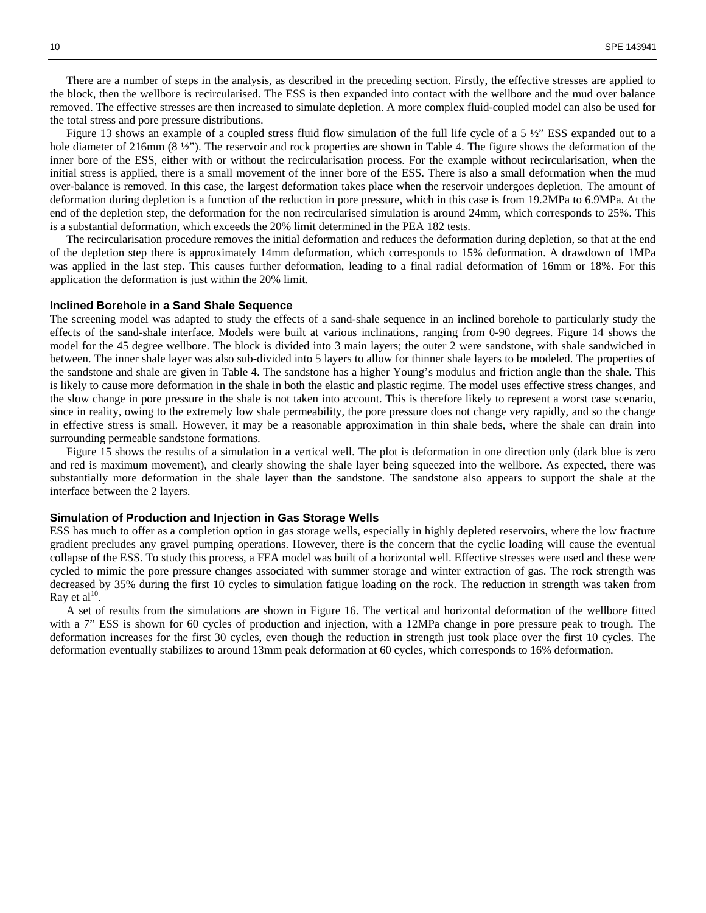There are a number of steps in the analysis, as described in the preceding section. Firstly, the effective stresses are applied to the block, then the wellbore is recircularised. The ESS is then expanded into contact with the wellbore and the mud over balance removed. The effective stresses are then increased to simulate depletion. A more complex fluid-coupled model can also be used for the total stress and pore pressure distributions.

Figure 13 shows an example of a coupled stress fluid flow simulation of the full life cycle of a 5  $\frac{1}{2}$ " ESS expanded out to a hole diameter of 216mm (8  $\frac{1}{2}$ "). The reservoir and rock properties are shown in Table 4. The figure shows the deformation of the inner bore of the ESS, either with or without the recircularisation process. For the example without recircularisation, when the initial stress is applied, there is a small movement of the inner bore of the ESS. There is also a small deformation when the mud over-balance is removed. In this case, the largest deformation takes place when the reservoir undergoes depletion. The amount of deformation during depletion is a function of the reduction in pore pressure, which in this case is from 19.2MPa to 6.9MPa. At the end of the depletion step, the deformation for the non recircularised simulation is around 24mm, which corresponds to 25%. This is a substantial deformation, which exceeds the 20% limit determined in the PEA 182 tests.

The recircularisation procedure removes the initial deformation and reduces the deformation during depletion, so that at the end of the depletion step there is approximately 14mm deformation, which corresponds to 15% deformation. A drawdown of 1MPa was applied in the last step. This causes further deformation, leading to a final radial deformation of 16mm or 18%. For this application the deformation is just within the 20% limit.

#### **Inclined Borehole in a Sand Shale Sequence**

The screening model was adapted to study the effects of a sand-shale sequence in an inclined borehole to particularly study the effects of the sand-shale interface. Models were built at various inclinations, ranging from 0-90 degrees. Figure 14 shows the model for the 45 degree wellbore. The block is divided into 3 main layers; the outer 2 were sandstone, with shale sandwiched in between. The inner shale layer was also sub-divided into 5 layers to allow for thinner shale layers to be modeled. The properties of the sandstone and shale are given in Table 4. The sandstone has a higher Young's modulus and friction angle than the shale. This is likely to cause more deformation in the shale in both the elastic and plastic regime. The model uses effective stress changes, and the slow change in pore pressure in the shale is not taken into account. This is therefore likely to represent a worst case scenario, since in reality, owing to the extremely low shale permeability, the pore pressure does not change very rapidly, and so the change in effective stress is small. However, it may be a reasonable approximation in thin shale beds, where the shale can drain into surrounding permeable sandstone formations.

Figure 15 shows the results of a simulation in a vertical well. The plot is deformation in one direction only (dark blue is zero and red is maximum movement), and clearly showing the shale layer being squeezed into the wellbore. As expected, there was substantially more deformation in the shale layer than the sandstone. The sandstone also appears to support the shale at the interface between the 2 layers.

#### **Simulation of Production and Injection in Gas Storage Wells**

ESS has much to offer as a completion option in gas storage wells, especially in highly depleted reservoirs, where the low fracture gradient precludes any gravel pumping operations. However, there is the concern that the cyclic loading will cause the eventual collapse of the ESS. To study this process, a FEA model was built of a horizontal well. Effective stresses were used and these were cycled to mimic the pore pressure changes associated with summer storage and winter extraction of gas. The rock strength was decreased by 35% during the first 10 cycles to simulation fatigue loading on the rock. The reduction in strength was taken from Ray et al $^{10}$ .

A set of results from the simulations are shown in Figure 16. The vertical and horizontal deformation of the wellbore fitted with a 7" ESS is shown for 60 cycles of production and injection, with a 12MPa change in pore pressure peak to trough. The deformation increases for the first 30 cycles, even though the reduction in strength just took place over the first 10 cycles. The deformation eventually stabilizes to around 13mm peak deformation at 60 cycles, which corresponds to 16% deformation.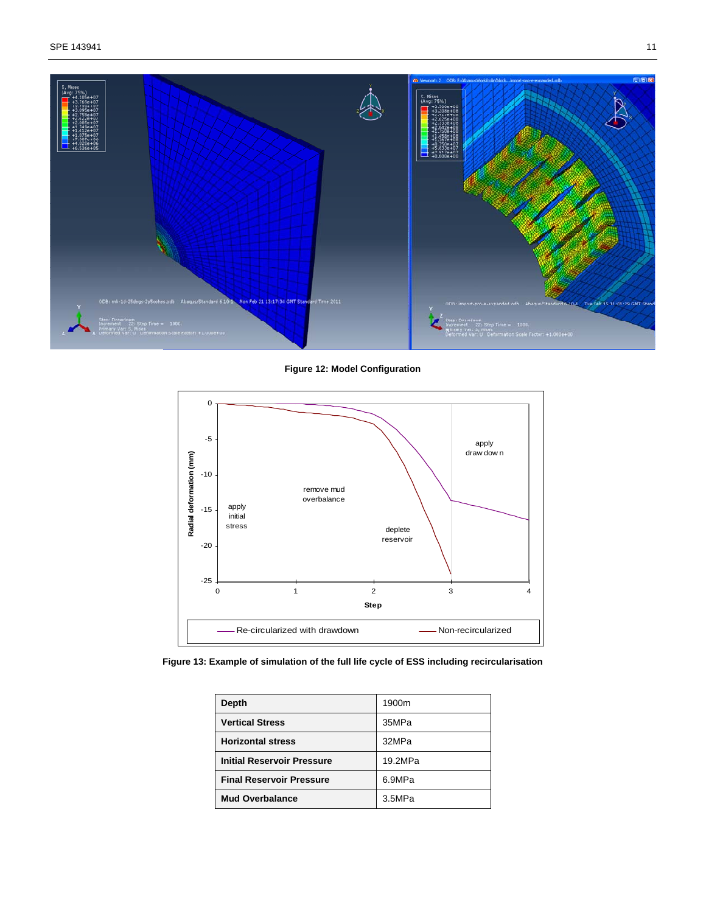

**Figure 12: Model Configuration** 



**Figure 13: Example of simulation of the full life cycle of ESS including recircularisation** 

| <b>Depth</b>                      | 1900m   |  |
|-----------------------------------|---------|--|
| <b>Vertical Stress</b>            | 35MPa   |  |
| <b>Horizontal stress</b>          | 32MPa   |  |
| <b>Initial Reservoir Pressure</b> | 19.2MPa |  |
| <b>Final Reservoir Pressure</b>   | 6.9MPa  |  |
| <b>Mud Overbalance</b>            | 3.5MPa  |  |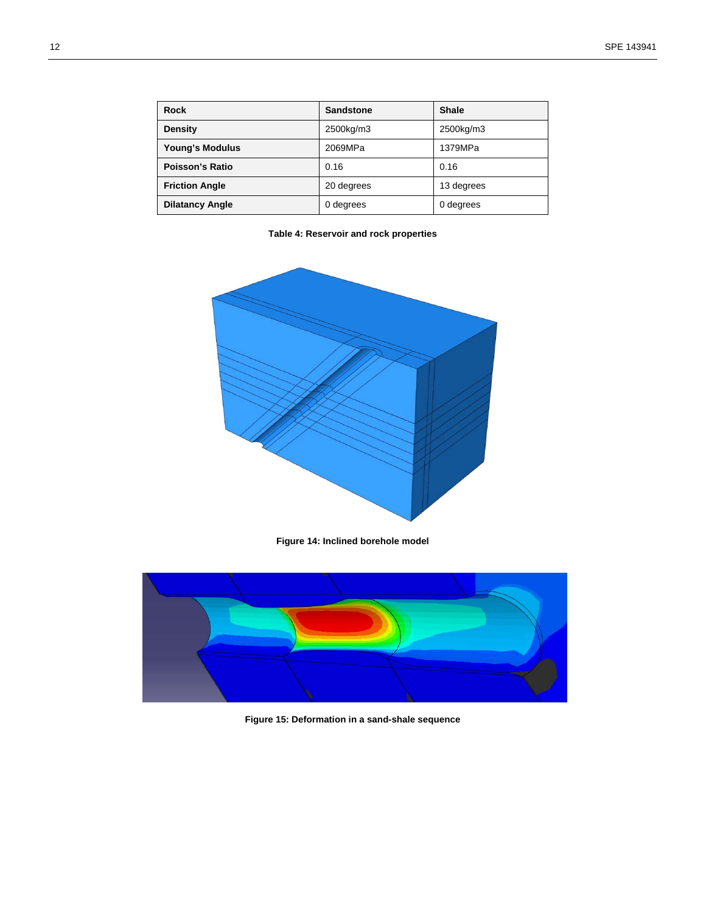| Rock                   | <b>Sandstone</b> | <b>Shale</b> |
|------------------------|------------------|--------------|
| Density                | 2500kg/m3        | 2500kg/m3    |
| Young's Modulus        | 2069MPa          | 1379MPa      |
| Poisson's Ratio        | 0.16             | 0.16         |
| <b>Friction Angle</b>  | 20 degrees       | 13 degrees   |
| <b>Dilatancy Angle</b> | 0 degrees        | 0 degrees    |

**Table 4: Reservoir and rock properties** 



**Figure 14: Inclined borehole model** 



**Figure 15: Deformation in a sand-shale sequence**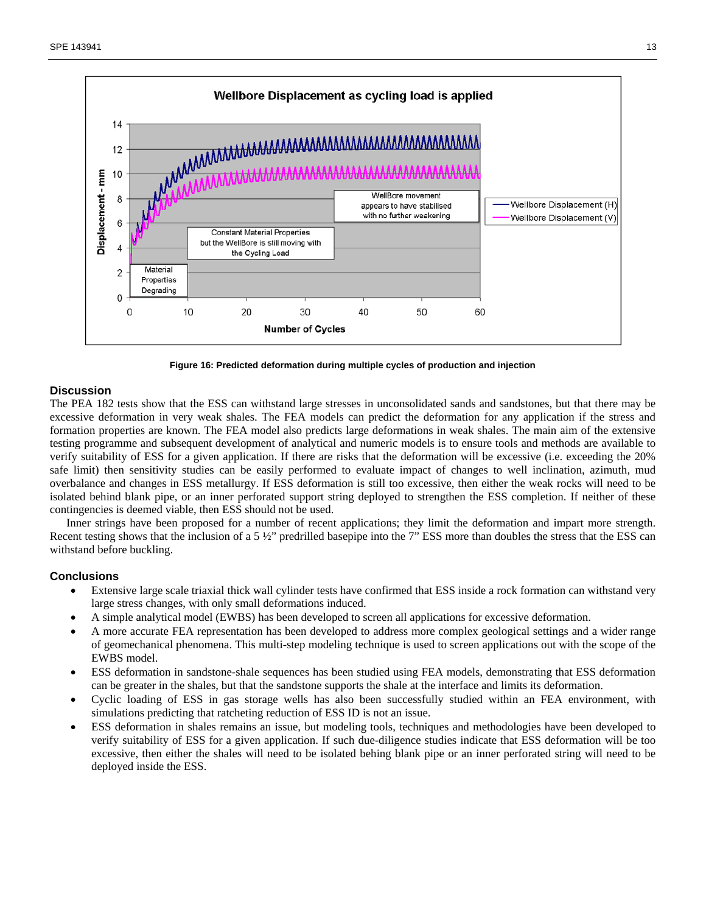

**Figure 16: Predicted deformation during multiple cycles of production and injection** 

## **Discussion**

The PEA 182 tests show that the ESS can withstand large stresses in unconsolidated sands and sandstones, but that there may be excessive deformation in very weak shales. The FEA models can predict the deformation for any application if the stress and formation properties are known. The FEA model also predicts large deformations in weak shales. The main aim of the extensive testing programme and subsequent development of analytical and numeric models is to ensure tools and methods are available to verify suitability of ESS for a given application. If there are risks that the deformation will be excessive (i.e. exceeding the 20% safe limit) then sensitivity studies can be easily performed to evaluate impact of changes to well inclination, azimuth, mud overbalance and changes in ESS metallurgy. If ESS deformation is still too excessive, then either the weak rocks will need to be isolated behind blank pipe, or an inner perforated support string deployed to strengthen the ESS completion. If neither of these contingencies is deemed viable, then ESS should not be used.

Inner strings have been proposed for a number of recent applications; they limit the deformation and impart more strength. Recent testing shows that the inclusion of a 5 ½" predrilled basepipe into the 7" ESS more than doubles the stress that the ESS can withstand before buckling.

# **Conclusions**

- Extensive large scale triaxial thick wall cylinder tests have confirmed that ESS inside a rock formation can withstand very large stress changes, with only small deformations induced.
- A simple analytical model (EWBS) has been developed to screen all applications for excessive deformation.
- A more accurate FEA representation has been developed to address more complex geological settings and a wider range of geomechanical phenomena. This multi-step modeling technique is used to screen applications out with the scope of the EWBS model.
- ESS deformation in sandstone-shale sequences has been studied using FEA models, demonstrating that ESS deformation can be greater in the shales, but that the sandstone supports the shale at the interface and limits its deformation.
- Cyclic loading of ESS in gas storage wells has also been successfully studied within an FEA environment, with simulations predicting that ratcheting reduction of ESS ID is not an issue.
- ESS deformation in shales remains an issue, but modeling tools, techniques and methodologies have been developed to verify suitability of ESS for a given application. If such due-diligence studies indicate that ESS deformation will be too excessive, then either the shales will need to be isolated behing blank pipe or an inner perforated string will need to be deployed inside the ESS.